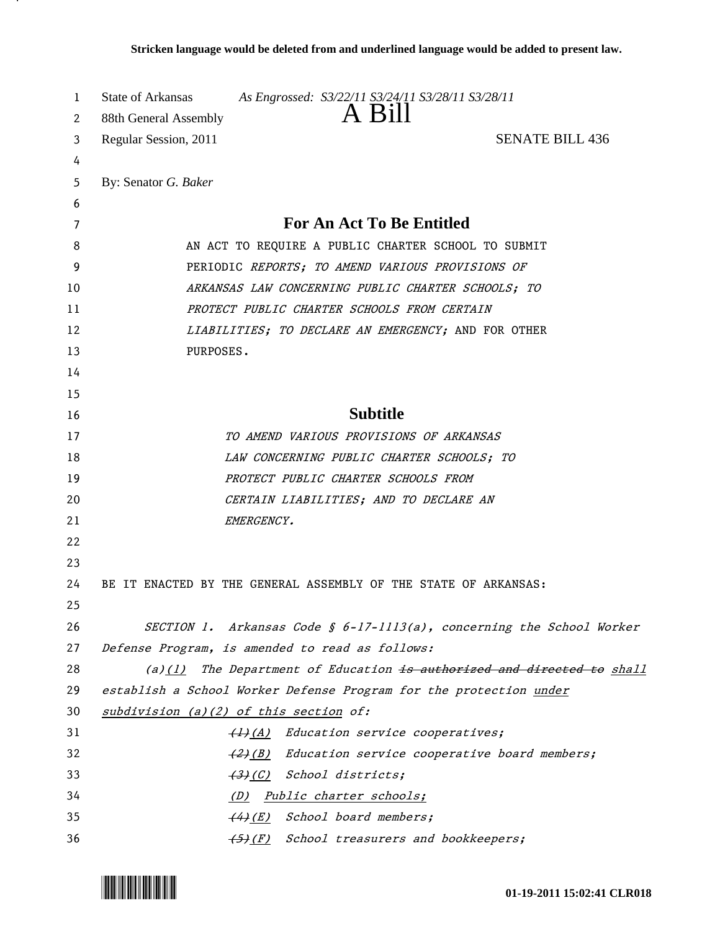| 1<br>2 | State of Arkansas<br>As Engrossed: S3/22/11 S3/24/11 S3/28/11 S3/28/11<br>A Bill<br>88th General Assembly |
|--------|-----------------------------------------------------------------------------------------------------------|
| 3      | Regular Session, 2011<br><b>SENATE BILL 436</b>                                                           |
| 4      |                                                                                                           |
| 5      | By: Senator G. Baker                                                                                      |
| 6      |                                                                                                           |
| 7      | For An Act To Be Entitled                                                                                 |
| 8      | AN ACT TO REQUIRE A PUBLIC CHARTER SCHOOL TO SUBMIT                                                       |
| 9      | PERIODIC REPORTS; TO AMEND VARIOUS PROVISIONS OF                                                          |
| 10     | ARKANSAS LAW CONCERNING PUBLIC CHARTER SCHOOLS; TO                                                        |
| 11     | PROTECT PUBLIC CHARTER SCHOOLS FROM CERTAIN                                                               |
| 12     | LIABILITIES; TO DECLARE AN EMERGENCY; AND FOR OTHER                                                       |
| 13     | PURPOSES.                                                                                                 |
| 14     |                                                                                                           |
| 15     |                                                                                                           |
| 16     | <b>Subtitle</b>                                                                                           |
| 17     | TO AMEND VARIOUS PROVISIONS OF ARKANSAS                                                                   |
| 18     | LAW CONCERNING PUBLIC CHARTER SCHOOLS; TO                                                                 |
| 19     | PROTECT PUBLIC CHARTER SCHOOLS FROM                                                                       |
| 20     | CERTAIN LIABILITIES; AND TO DECLARE AN                                                                    |
| 21     | EMERGENCY.                                                                                                |
| 22     |                                                                                                           |
| 23     |                                                                                                           |
| 24     | BE IT ENACTED BY THE GENERAL ASSEMBLY OF THE STATE OF ARKANSAS:                                           |
| 25     |                                                                                                           |
| 26     | SECTION 1. Arkansas Code § $6-17-1113(a)$ , concerning the School Worker                                  |
| 27     | Defense Program, is amended to read as follows:                                                           |
| 28     | $(a)(1)$ The Department of Education is authorized and directed to shall                                  |
| 29     | establish a School Worker Defense Program for the protection under                                        |
| 30     | $subdivision$ (a)(2) of this section of:                                                                  |
| 31     | (1)(A) Education service cooperatives;                                                                    |
| 32     | (2)(B) Education service cooperative board members;                                                       |
| 33     | (3)(C) School districts;                                                                                  |
| 34     | (D) Public charter schools;                                                                               |
| 35     | (4)(E) School board members;                                                                              |
| 36     | (5)(F) School treasurers and bookkeepers;                                                                 |



.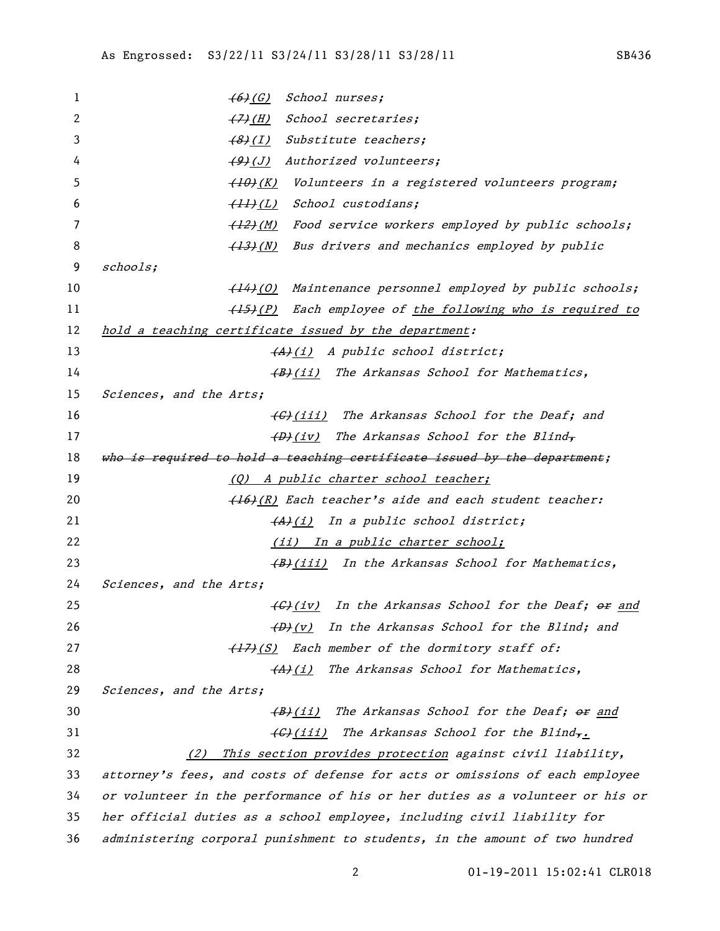1  $(6)(G)$  School nurses; 2 (7)(H) School secretaries; 3 (8)(I) Substitute teachers; 4 (9)(J) Authorized volunteers; 5 (10)(K) Volunteers in a registered volunteers program;  $(HL)(L)$  School custodians; 7 (12)(M) Food service workers employed by public schools; 8 (13)(N) Bus drivers and mechanics employed by public 9 schools; 10  $\left(14\right)(0)$  Maintenance personnel employed by public schools; 11 (15)(P) Each employee of the following who is required to 12 hold a teaching certificate issued by the department: 13  $(A)$  (i) A public school district; 14 (B)(ii) The Arkansas School for Mathematics, 15 Sciences, and the Arts; 16 (G)(iii) The Arkansas School for the Deaf; and 17  $\left\{\frac{D}{U}(iv)\right\}$  The Arkansas School for the Blind, 18 who is required to hold a teaching certificate issued by the department; 19 (Q) A public charter school teacher; 20 (16)(R) Each teacher's aide and each student teacher: 21  $(A)/(i)$  In a public school district; 22 (ii) In a public charter school; 23 (B)(iii) In the Arkansas School for Mathematics, 24 Sciences, and the Arts; 25  $\left\{\left(\frac{G}{U}\right)\right\}$  In the Arkansas School for the Deaf; or and 26  $\leftarrow$   $\leftarrow$   $\leftarrow$   $\leftarrow$   $\leftarrow$   $\leftarrow$   $\leftarrow$   $\leftarrow$   $\leftarrow$   $\leftarrow$   $\leftarrow$   $\leftarrow$   $\leftarrow$   $\leftarrow$   $\leftarrow$   $\leftarrow$   $\leftarrow$   $\leftarrow$   $\leftarrow$   $\leftarrow$   $\leftarrow$   $\leftarrow$   $\leftarrow$   $\leftarrow$   $\leftarrow$   $\leftarrow$   $\leftarrow$   $\leftarrow$   $\leftarrow$   $\leftarrow$   $\leftarrow$   $\leftarrow$   $\leftarrow$   $\leftarrow$   $\leftarrow$   $\leftarrow$   $\$ 27  $(17)(S)$  Each member of the dormitory staff of: 28  $(A)$  (i) The Arkansas School for Mathematics, 29 Sciences, and the Arts; 30 (B)(ii) The Arkansas School for the Deaf; or and 31  $\left\{\frac{G}{i}i\right\}$  The Arkansas School for the Blind,. 32 (2) This section provides protection against civil liability, 33 attorney's fees, and costs of defense for acts or omissions of each employee 34 or volunteer in the performance of his or her duties as a volunteer or his or 35 her official duties as a school employee, including civil liability for 36 administering corporal punishment to students, in the amount of two hundred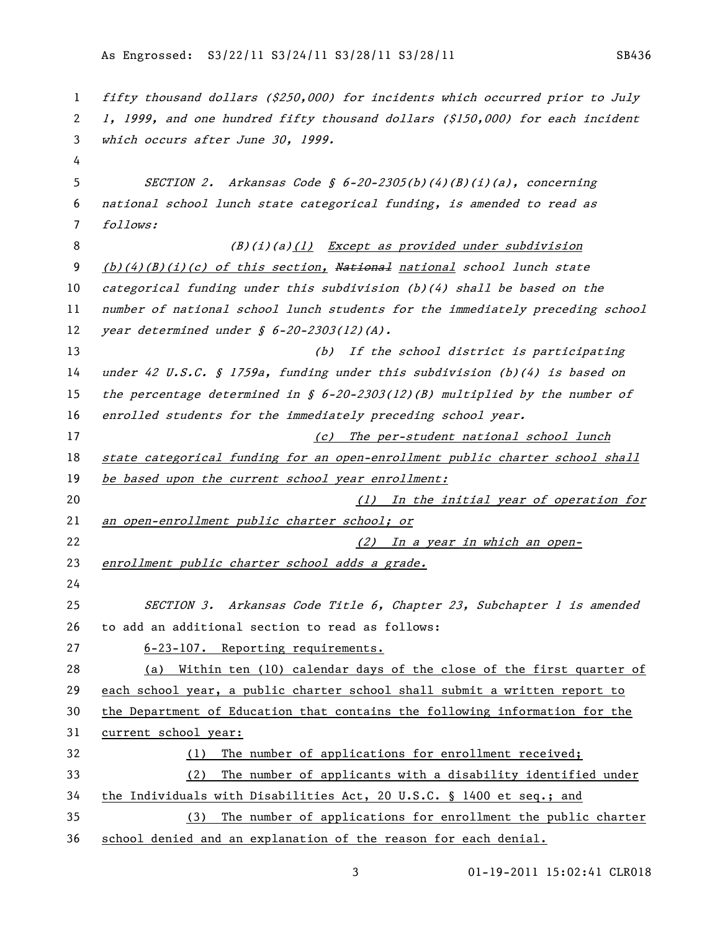fifty thousand dollars (\$250,000) for incidents which occurred prior to July 1, 1999, and one hundred fifty thousand dollars (\$150,000) for each incident which occurs after June 30, 1999. 5 SECTION 2. Arkansas Code  $\oint$  6-20-2305(b)(4)(B)(i)(a), concerning national school lunch state categorical funding, is amended to read as follows: 8 (B)(i)(a)(1) Except as provided under subdivision 9 (b)(4)(B)(i)(c) of this section,  $Rational$  national school lunch state 10 categorical funding under this subdivision  $(b)(4)$  shall be based on the number of national school lunch students for the immediately preceding school 12 year determined under § 6-20-2303(12)(A). (b) If the school district is participating under 42 U.S.C. § 1759a, funding under this subdivision (b)(4) is based on 15 the percentage determined in  $\zeta$  6-20-2303(12)(B) multiplied by the number of enrolled students for the immediately preceding school year. 17 (c) The per-student national school lunch state categorical funding for an open-enrollment public charter school shall 19 be based upon the current school year enrollment: (1) In the initial year of operation for an open-enrollment public charter school; or (2) In a year in which an open-23 enrollment public charter school adds a grade. SECTION 3. Arkansas Code Title 6, Chapter 23, Subchapter 1 is amended to add an additional section to read as follows: 6-23-107. Reporting requirements. (a) Within ten (10) calendar days of the close of the first quarter of each school year, a public charter school shall submit a written report to the Department of Education that contains the following information for the current school year: (1) The number of applications for enrollment received; (2) The number of applicants with a disability identified under the Individuals with Disabilities Act, 20 U.S.C. § 1400 et seq.; and (3) The number of applications for enrollment the public charter school denied and an explanation of the reason for each denial.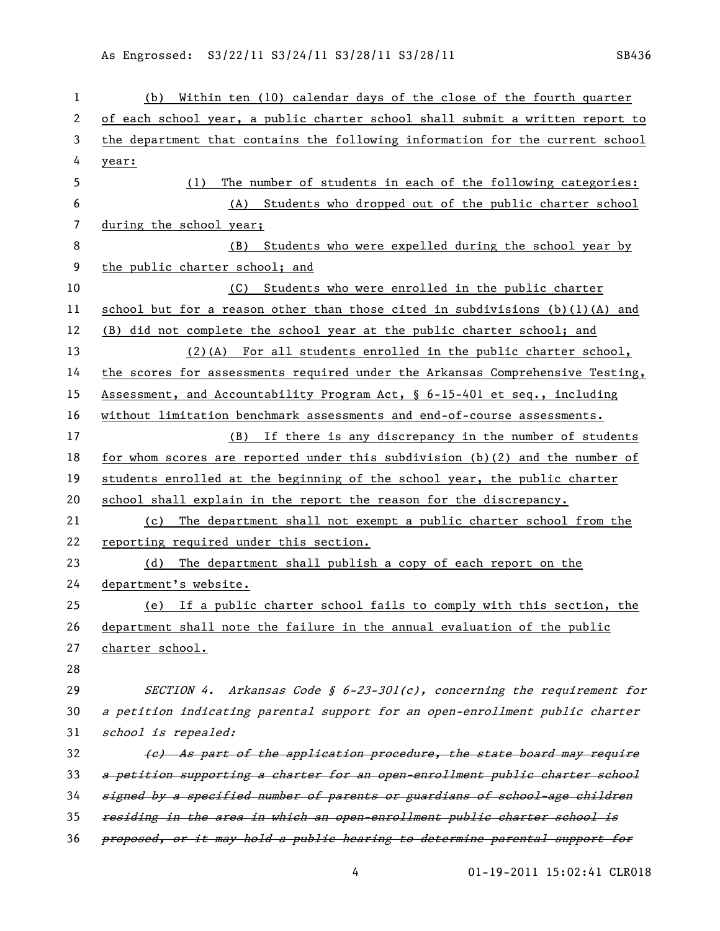| 1              | Within ten (10) calendar days of the close of the fourth quarter<br>(b)        |
|----------------|--------------------------------------------------------------------------------|
| 2              | of each school year, a public charter school shall submit a written report to  |
| 3              | the department that contains the following information for the current school  |
| 4              | year:                                                                          |
| 5              | The number of students in each of the following categories:<br>(1)             |
| 6              | (A) Students who dropped out of the public charter school                      |
| $\overline{7}$ | during the school year;                                                        |
| 8              | Students who were expelled during the school year by<br>(B)                    |
| 9              | the public charter school; and                                                 |
| 10             | (C) Students who were enrolled in the public charter                           |
| 11             | school but for a reason other than those cited in subdivisions $(b)(1)(A)$ and |
| 12             | (B) did not complete the school year at the public charter school; and         |
| 13             | $(2)(A)$ For all students enrolled in the public charter school,               |
| 14             | the scores for assessments required under the Arkansas Comprehensive Testing,  |
| 15             | Assessment, and Accountability Program Act, § 6-15-401 et seq., including      |
| 16             | without limitation benchmark assessments and end-of-course assessments.        |
| 17             | (B) If there is any discrepancy in the number of students                      |
| 18             | for whom scores are reported under this subdivision $(b)(2)$ and the number of |
| 19             | students enrolled at the beginning of the school year, the public charter      |
| 20             | school shall explain in the report the reason for the discrepancy.             |
| 21             | (c) The department shall not exempt a public charter school from the           |
| 22             | reporting required under this section.                                         |
| 23             | The department shall publish a copy of each report on the<br>(d)               |
| 24             | department's website.                                                          |
| 25             | (e) If a public charter school fails to comply with this section, the          |
| 26             | department shall note the failure in the annual evaluation of the public       |
| 27             | charter school.                                                                |
| 28             |                                                                                |
| 29             | SECTION 4. Arkansas Code § $6-23-301(c)$ , concerning the requirement for      |
| 30             | a petition indicating parental support for an open-enrollment public charter   |
| 31             | school is repealed:                                                            |
| 32             | (e) As part of the application procedure, the state board may require          |
| 33             | a petition supporting a charter for an open-enrollment public charter school   |
| 34             | signed by a specified number of parents or guardians of school age children    |
| 35             | residing in the area in which an open-enrollment public charter school is      |
| 36             | proposed, or it may hold a public hearing to determine parental support for    |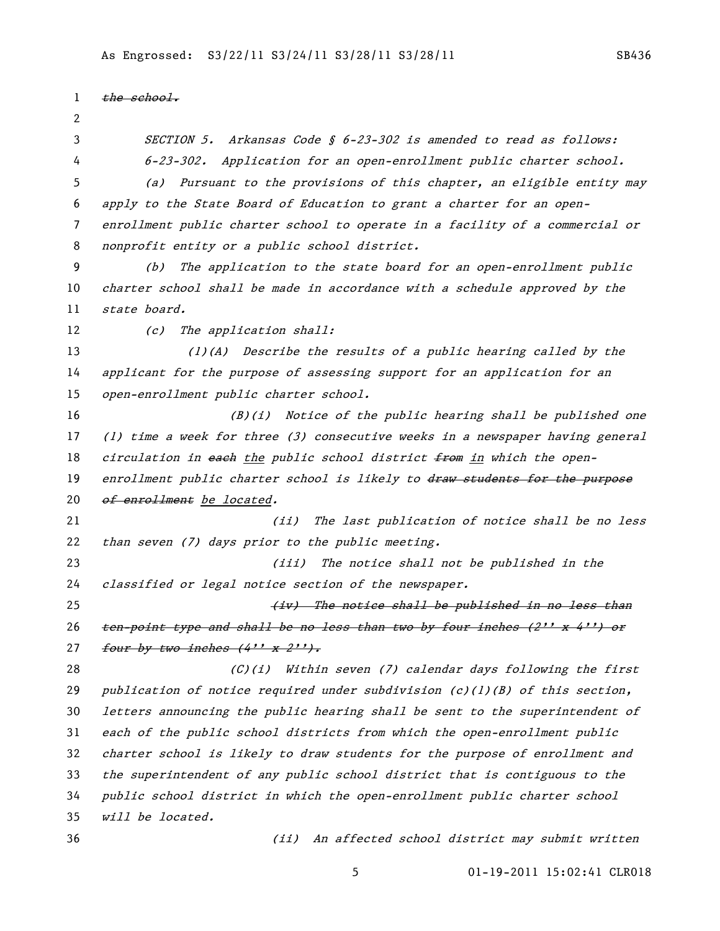the school. SECTION 5. Arkansas Code § 6-23-302 is amended to read as follows: 6-23-302. Application for an open-enrollment public charter school. (a) Pursuant to the provisions of this chapter, an eligible entity may apply to the State Board of Education to grant a charter for an open- enrollment public charter school to operate in a facility of a commercial or nonprofit entity or a public school district. (b) The application to the state board for an open-enrollment public charter school shall be made in accordance with a schedule approved by the state board. 12 (c) The application shall: (1)(A) Describe the results of a public hearing called by the applicant for the purpose of assessing support for an application for an open-enrollment public charter school. (B)(i) Notice of the public hearing shall be published one (1) time a week for three (3) consecutive weeks in a newspaper having general 18 circulation in each the public school district from in which the open-19 enrollment public charter school is likely to draw students for the purpose 20 of enrollment be located. 21 (ii) The last publication of notice shall be no less than seven (7) days prior to the public meeting. (iii) The notice shall not be published in the classified or legal notice section of the newspaper. 25 (*iv)* The notice shall be published in no less than 26 ten-point type and shall be no less than two by four inches  $(2'$ ' x  $4'$ ') or 27 four by two inches  $(4'') \times 2''$ . (C)(i) Within seven (7) calendar days following the first 29 publication of notice required under subdivision  $(c)(1)(B)$  of this section, letters announcing the public hearing shall be sent to the superintendent of each of the public school districts from which the open-enrollment public charter school is likely to draw students for the purpose of enrollment and the superintendent of any public school district that is contiguous to the public school district in which the open-enrollment public charter school will be located. (ii) An affected school district may submit written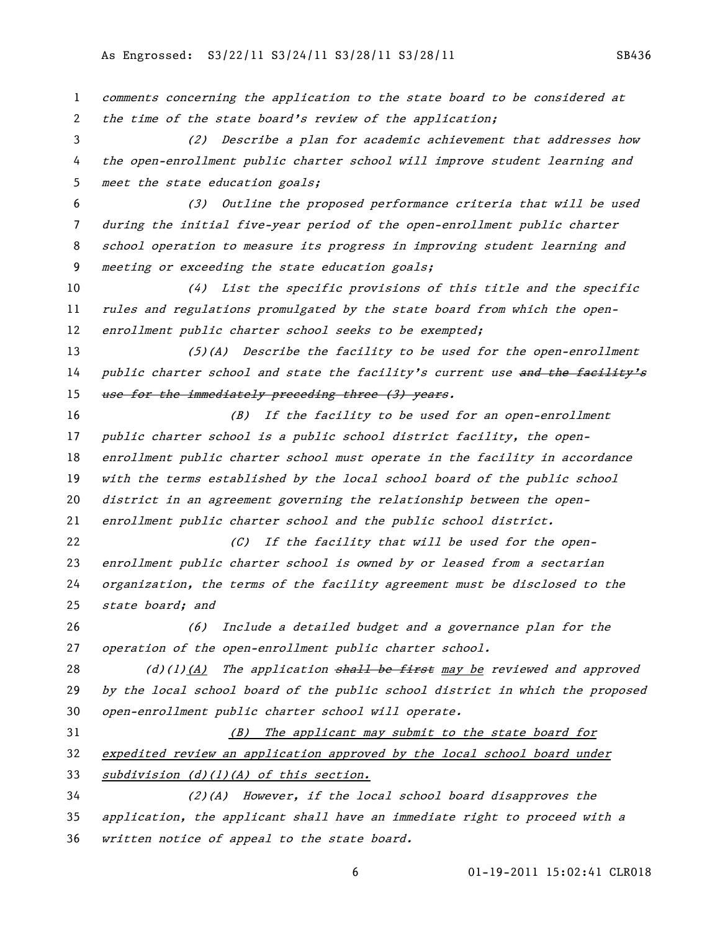comments concerning the application to the state board to be considered at 2 the time of the state board's review of the application; (2) Describe a plan for academic achievement that addresses how the open-enrollment public charter school will improve student learning and 5 meet the state education goals; (3) Outline the proposed performance criteria that will be used during the initial five-year period of the open-enrollment public charter school operation to measure its progress in improving student learning and meeting or exceeding the state education goals; (4) List the specific provisions of this title and the specific rules and regulations promulgated by the state board from which the open-12 enrollment public charter school seeks to be exempted; (5)(A) Describe the facility to be used for the open-enrollment 14 public charter school and state the facility's current use and the facility's 15 use for the immediately preceding three (3) years. (B) If the facility to be used for an open-enrollment public charter school is a public school district facility, the open- enrollment public charter school must operate in the facility in accordance with the terms established by the local school board of the public school district in an agreement governing the relationship between the open- enrollment public charter school and the public school district. 22 (C) If the facility that will be used for the open- enrollment public charter school is owned by or leased from a sectarian organization, the terms of the facility agreement must be disclosed to the 25 state board; and (6) Include a detailed budget and a governance plan for the operation of the open-enrollment public charter school. 28 (d)(1)(A) The application  $shall$  be first may be reviewed and approved by the local school board of the public school district in which the proposed open-enrollment public charter school will operate. (B) The applicant may submit to the state board for expedited review an application approved by the local school board under 33 subdivision  $(d)(1)(A)$  of this section. (2)(A) However, if the local school board disapproves the application, the applicant shall have an immediate right to proceed with a written notice of appeal to the state board.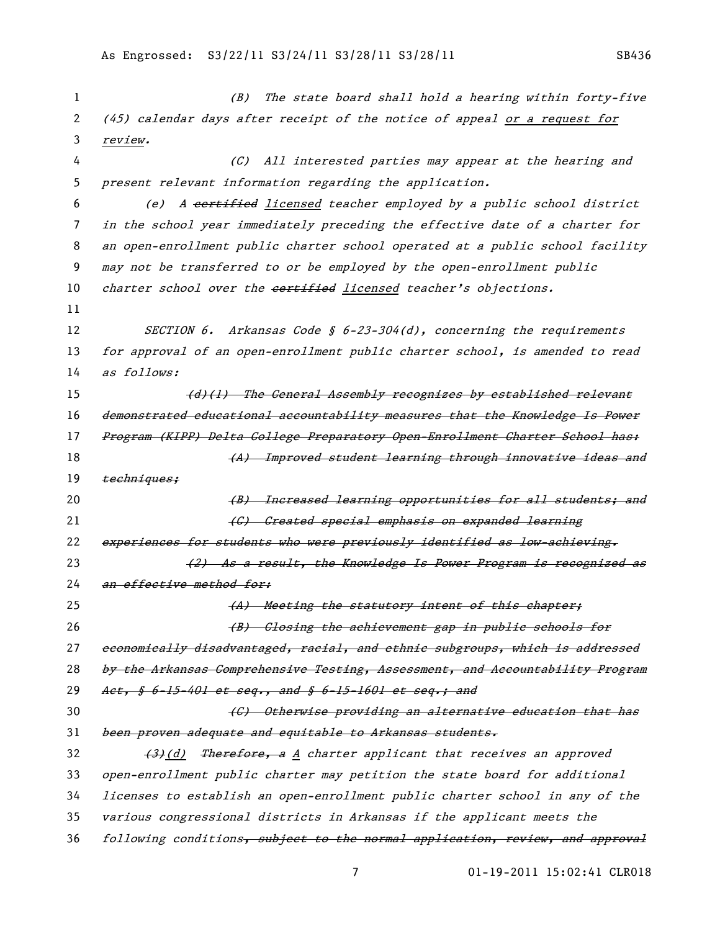1 (B) The state board shall hold a hearing within forty-five 2 (45) calendar days after receipt of the notice of appeal or a request for 3 review. 4 (C) All interested parties may appear at the hearing and 5 present relevant information regarding the application. 6 (e) A certified licensed teacher employed by a public school district 7 in the school year immediately preceding the effective date of a charter for 8 an open-enrollment public charter school operated at a public school facility 9 may not be transferred to or be employed by the open-enrollment public 10 charter school over the certified licensed teacher's objections. 11 12 SECTION 6. Arkansas Code § 6-23-304(d), concerning the requirements 13 for approval of an open-enrollment public charter school, is amended to read 14 as follows: 15 (d)(1) The General Assembly recognizes by established relevant 16 demonstrated educational accountability measures that the Knowledge Is Power 17 Program (KIPP) Delta College Preparatory Open-Enrollment Charter School has: 18 (A) Improved student learning through innovative ideas and 19 techniques; 20 **120 Construments** (B) Increased learning opportunities for all students; and 21 (C) Created special emphasis on expanded learning 22 experiences for students who were previously identified as low-achieving, 23 (2) As a result, the Knowledge Is Power Program is recognized as 24 an effective method for: 25 **(A)** Meeting the statutory intent of this chapter; 26 (B) Closing the achievement gap in public schools for 27 economically disadvantaged, racial, and ethnic subgroups, which is addressed 28 by the Arkansas Comprehensive Testing, Assessment, and Accountability Program 29 Act,  $$6-15-401$  et seq., and  $$6-15-1601$  et seq.; and 30 **120 Construents an alternative education that has** the *CO Otherwise providing an alternative education that has* 31 been proven adequate and equitable to Arkansas students. 32  $(3)$ (d) Therefore, a A charter applicant that receives an approved 33 open-enrollment public charter may petition the state board for additional 34 licenses to establish an open-enrollment public charter school in any of the 35 various congressional districts in Arkansas if the applicant meets the 36 following conditions, subject to the normal application, review, and approval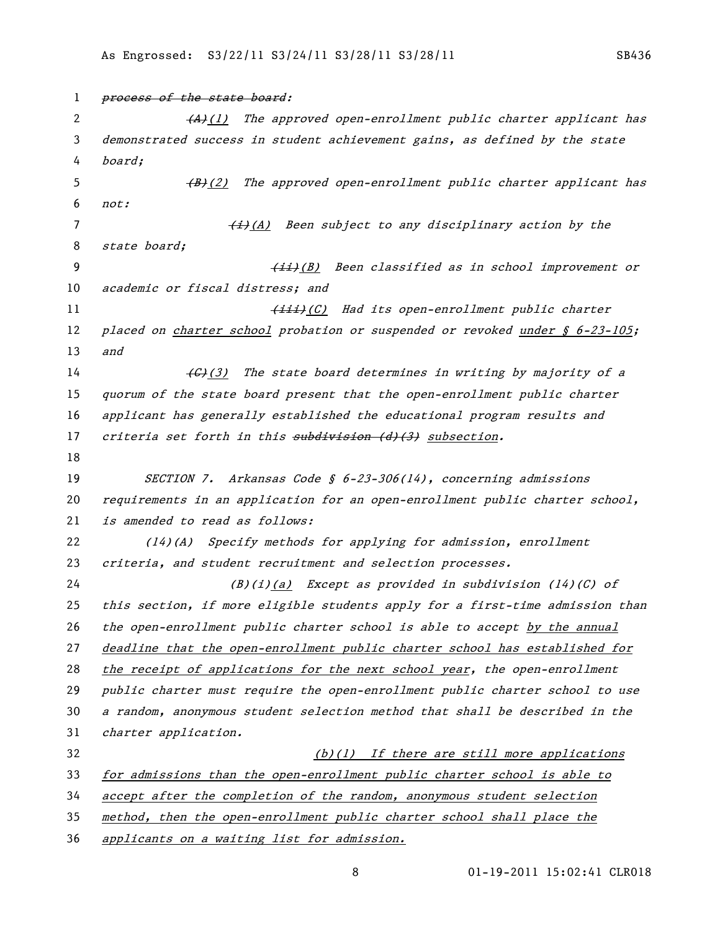| 1      | process of the state board:                                                                 |
|--------|---------------------------------------------------------------------------------------------|
| 2      | (A)(1) The approved open-enrollment public charter applicant has                            |
| 3      | demonstrated success in student achievement gains, as defined by the state                  |
| 4      | board;                                                                                      |
| 5      | The approved open-enrollment public charter applicant has<br>$\left(\frac{B}{2}\right)$ (2) |
| 6      | not:                                                                                        |
| 7      | $\overline{f(t) - f(z)}$ Been subject to any disciplinary action by the                     |
| 8      | state board;                                                                                |
| 9      | (ii)(B) Been classified as in school improvement or                                         |
| 10     | academic or fiscal distress; and                                                            |
| 11     | (iii)(C) Had its open-enrollment public charter                                             |
| 12     | placed on charter school probation or suspended or revoked under § 6-23-105;                |
| 13     | and                                                                                         |
| 14     | The state board determines in writing by majority of a<br><del>(C)</del> (3)                |
| 15     | quorum of the state board present that the open-enrollment public charter                   |
| 16     | applicant has generally established the educational program results and                     |
| 17     | criteria set forth in this subdivision (d)(3) subsection.                                   |
| 18     |                                                                                             |
| 19     | SECTION 7. Arkansas Code $\oint$ 6-23-306(14), concerning admissions                        |
| 20     | requirements in an application for an open-enrollment public charter school,                |
| 21     | is amended to read as follows:                                                              |
| 22     | (14)(A) Specify methods for applying for admission, enrollment                              |
| 23     | criteria, and student recruitment and selection processes.                                  |
| 24     | $(B)(i)(a)$ Except as provided in subdivision (14)(C) of                                    |
| 25     | this section, if more eligible students apply for a first-time admission than               |
| 26     | the open-enrollment public charter school is able to accept by the annual                   |
| 27     | deadline that the open-enrollment public charter school has established for                 |
| 28     | the receipt of applications for the next school year, the open-enrollment                   |
| 29     | public charter must require the open-enrollment public charter school to use                |
| 30     | a random, anonymous student selection method that shall be described in the                 |
| 31     | charter application.                                                                        |
| 32     | (b)(1) If there are still more applications                                                 |
| 33     | for admissions than the open-enrollment public charter school is able to                    |
| 34     | accept after the completion of the random, anonymous student selection                      |
| 35     | method, then the open-enrollment public charter school shall place the                      |
| $\sim$ |                                                                                             |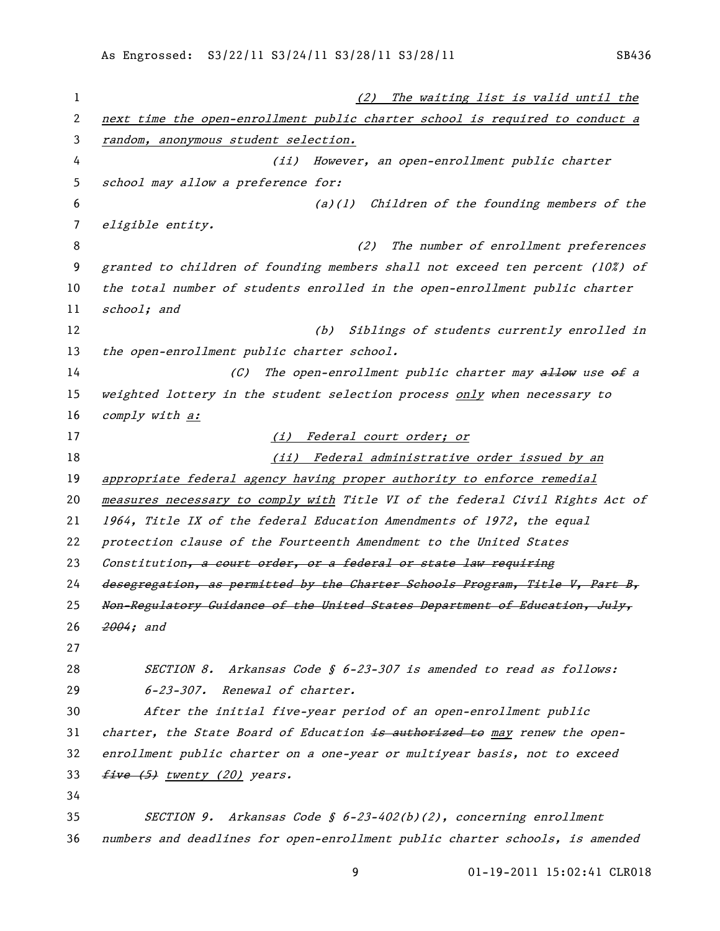| 1  | The waiting list is valid until the<br>(2)                                         |
|----|------------------------------------------------------------------------------------|
| 2  | next time the open-enrollment public charter school is required to conduct a       |
| 3  | random, anonymous student selection.                                               |
| 4  | However, an open-enrollment public charter<br>(iii)                                |
| 5  | school may allow a preference for:                                                 |
| 6  | $(a)(1)$ Children of the founding members of the                                   |
| 7  | eligible entity.                                                                   |
| 8  | The number of enrollment preferences<br>(2)                                        |
| 9  | granted to children of founding members shall not exceed ten percent ( $10\%$ ) of |
| 10 | the total number of students enrolled in the open-enrollment public charter        |
| 11 | school; and                                                                        |
| 12 | Siblings of students currently enrolled in<br>(b)                                  |
| 13 | the open-enrollment public charter school.                                         |
| 14 | The open-enrollment public charter may allow use of a<br>(C)                       |
| 15 | weighted lottery in the student selection process only when necessary to           |
| 16 | comply with a:                                                                     |
| 17 | Federal court order; or<br>(i)                                                     |
| 18 | (ii) Federal administrative order issued by an                                     |
| 19 | appropriate federal agency having proper authority to enforce remedial             |
| 20 | measures necessary to comply with Title VI of the federal Civil Rights Act of      |
| 21 | 1964, Title IX of the federal Education Amendments of 1972, the equal              |
| 22 | protection clause of the Fourteenth Amendment to the United States                 |
| 23 | Constitution, a court order, or a federal or state law requiring                   |
| 24 | desegregation, as permitted by the Charter Schools Program, Title V, Part B,       |
| 25 | Non-Regulatory Guidance of the United States Department of Education, July,        |
| 26 | <del>2004</del> ; and                                                              |
| 27 |                                                                                    |
| 28 | Arkansas Code § 6-23-307 is amended to read as follows:<br><i>SECTION 8.</i>       |
| 29 | 6-23-307. Renewal of charter.                                                      |
| 30 | After the initial five-year period of an open-enrollment public                    |
| 31 | charter, the State Board of Education is authorized to may renew the open-         |
| 32 | enrollment public charter on a one-year or multiyear basis, not to exceed          |
| 33 | five (5) twenty (20) years.                                                        |
| 34 |                                                                                    |
| 35 | SECTION 9. Arkansas Code § $6-23-402(b)(2)$ , concerning enrollment                |
| 36 | numbers and deadlines for open-enrollment public charter schools, is amended       |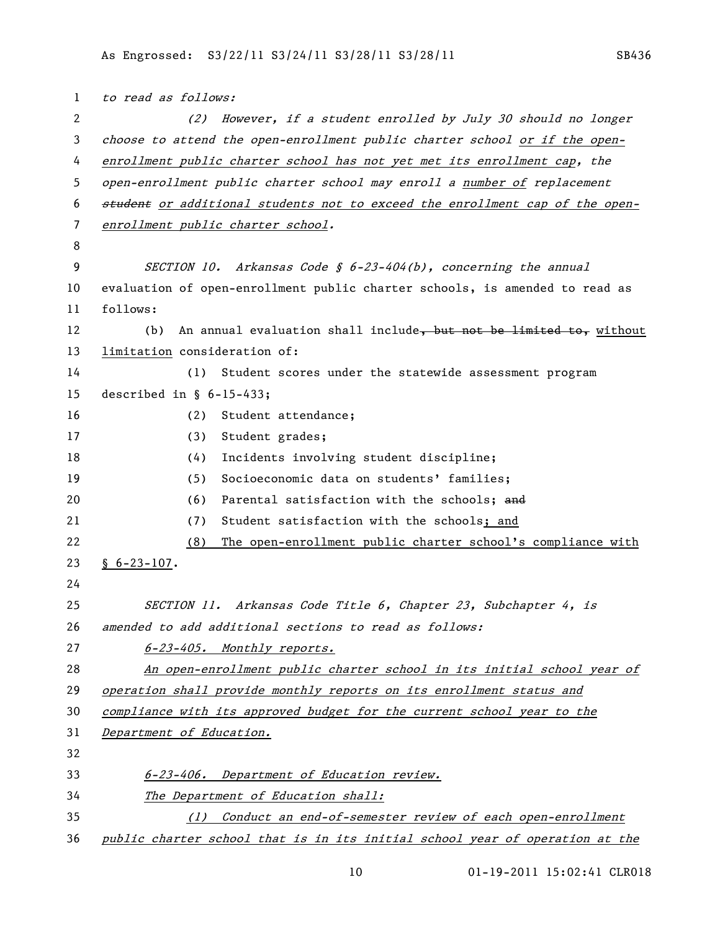```
1 to read as follows:
2 (2) However, if a student enrolled by July 30 should no longer 
3 choose to attend the open-enrollment public charter school or if the open-
4 enrollment public charter school has not yet met its enrollment cap, the
5 open-enrollment public charter school may enroll a number of replacement 
6 student or additional students not to exceed the enrollment cap of the open-
7 enrollment public charter school.
8
9 SECTION 10. Arkansas Code § 6-23-404(b), concerning the annual
10 evaluation of open-enrollment public charter schools, is amended to read as 
11 follows:
12 (b) An annual evaluation shall include, but not be limited to, without
13 limitation consideration of:
14 (1) Student scores under the statewide assessment program 
15 described in § 6-15-433;
16 (2) Student attendance;
17 (3) Student grades;
18 (4) Incidents involving student discipline;
19 (5) Socioeconomic data on students' families;
20 (6) Parental satisfaction with the schools: and
21 (7) Student satisfaction with the schools; and
22 (8) The open-enrollment public charter school's compliance with 
23 § 6-23-107.
24
25 SECTION 11. Arkansas Code Title 6, Chapter 23, Subchapter 4, is
26 amended to add additional sections to read as follows:
27 6-23-405. Monthly reports.
28 An open-enrollment public charter school in its initial school year of 
29 operation shall provide monthly reports on its enrollment status and 
30 compliance with its approved budget for the current school year to the 
31 Department of Education.
32
33 6-23-406. Department of Education review.
34 The Department of Education shall:
35 (1) Conduct an end-of-semester review of each open-enrollment 
36 public charter school that is in its initial school year of operation at the
```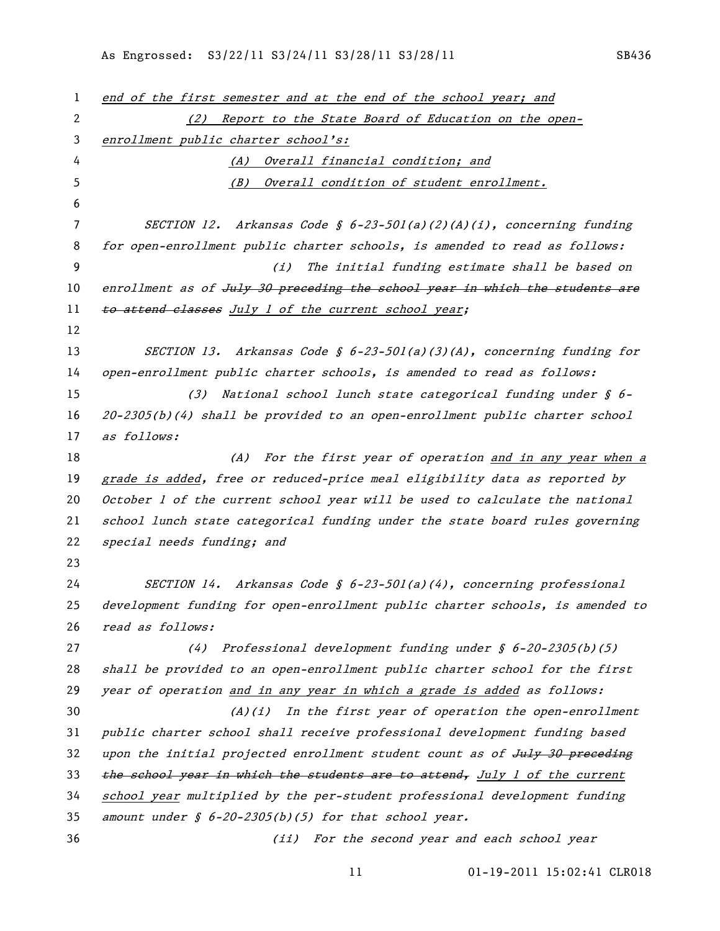| $\mathbf{1}$ | end of the first semester and at the end of the school year; and              |
|--------------|-------------------------------------------------------------------------------|
| 2            | Report to the State Board of Education on the open-<br>(2)                    |
| 3            | enrollment public charter school's:                                           |
| 4            | Overall financial condition; and<br>(A)                                       |
| 5            | Overall condition of student enrollment.<br>(B)                               |
| 6            |                                                                               |
| 7            | SECTION 12. Arkansas Code § $6-23-501(a)(2)(A)(i)$ , concerning funding       |
| 8            | for open-enrollment public charter schools, is amended to read as follows:    |
| 9            | The initial funding estimate shall be based on<br>(i)                         |
| 10           | enrollment as of July 30 preceding the school year in which the students are  |
| 11           | to attend classes July 1 of the current school year;                          |
| 12           |                                                                               |
| 13           | SECTION 13. Arkansas Code $\oint$ 6-23-501(a)(3)(A), concerning funding for   |
| 14           | open-enrollment public charter schools, is amended to read as follows:        |
| 15           | National school lunch state categorical funding under § 6-<br>(3)             |
| 16           | 20-2305(b)(4) shall be provided to an open-enrollment public charter school   |
| 17           | as follows:                                                                   |
| 18           | For the first year of operation and in any year when a<br>(A)                 |
| 19           | grade is added, free or reduced-price meal eligibility data as reported by    |
| 20           | October 1 of the current school year will be used to calculate the national   |
| 21           | school lunch state categorical funding under the state board rules governing  |
| 22           | special needs funding; and                                                    |
| 23           |                                                                               |
| 24           | SECTION 14. Arkansas Code $\oint$ 6-23-501(a)(4), concerning professional     |
| 25           | development funding for open-enrollment public charter schools, is amended to |
| 26           | read as follows:                                                              |
| 27           | Professional development funding under § 6-20-2305(b)(5)<br>(4)               |
| 28           | shall be provided to an open-enrollment public charter school for the first   |
| 29           | year of operation and in any year in which a grade is added as follows:       |
| 30           | In the first year of operation the open-enrollment<br>(A)(i)                  |
| 31           | public charter school shall receive professional development funding based    |
| 32           | upon the initial projected enrollment student count as of July 30 preceding   |
| 33           | the school year in which the students are to attend, July 1 of the current    |
| 34           | school year multiplied by the per-student professional development funding    |
| 35           | amount under § 6-20-2305(b)(5) for that school year.                          |
| 36           | (ii) For the second year and each school year                                 |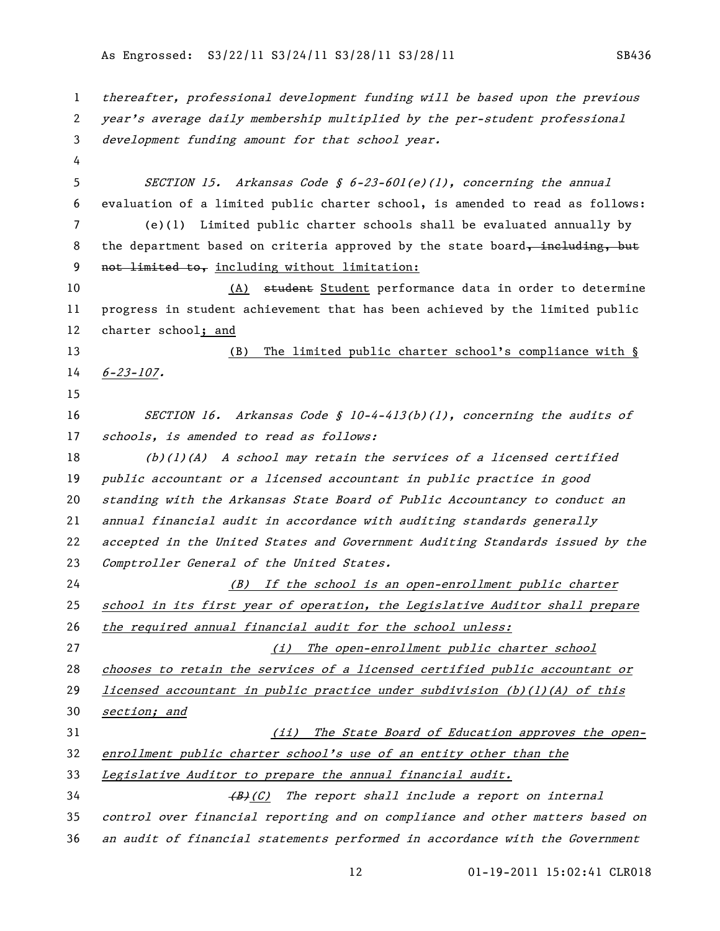## As Engrossed: S3/22/11 S3/24/11 S3/28/11 S3/28/11 SB436

 thereafter, professional development funding will be based upon the previous year's average daily membership multiplied by the per-student professional development funding amount for that school year. SECTION 15. Arkansas Code § 6-23-601(e)(1), concerning the annual evaluation of a limited public charter school, is amended to read as follows: (e)(1) Limited public charter schools shall be evaluated annually by 8 the department based on criteria approved by the state board, including, but 9 not limited to, including without limitation: 10 (A) student Student performance data in order to determine progress in student achievement that has been achieved by the limited public charter school; and (B) The limited public charter school's compliance with § 6-23-107. SECTION 16. Arkansas Code § 10-4-413(b)(1), concerning the audits of schools, is amended to read as follows:  $(b)(1)(A)$  A school may retain the services of a licensed certified public accountant or a licensed accountant in public practice in good standing with the Arkansas State Board of Public Accountancy to conduct an annual financial audit in accordance with auditing standards generally accepted in the United States and Government Auditing Standards issued by the 23 Comptroller General of the United States. (B) If the school is an open-enrollment public charter school in its first year of operation, the Legislative Auditor shall prepare the required annual financial audit for the school unless: (i) The open-enrollment public charter school chooses to retain the services of a licensed certified public accountant or *licensed accountant in public practice under subdivision (b)(1)(A) of this* 30 section; and 31 (ii) The State Board of Education approves the open- enrollment public charter school's use of an entity other than the Legislative Auditor to prepare the annual financial audit. 34 (B)(C) The report shall include a report on internal control over financial reporting and on compliance and other matters based on an audit of financial statements performed in accordance with the Government